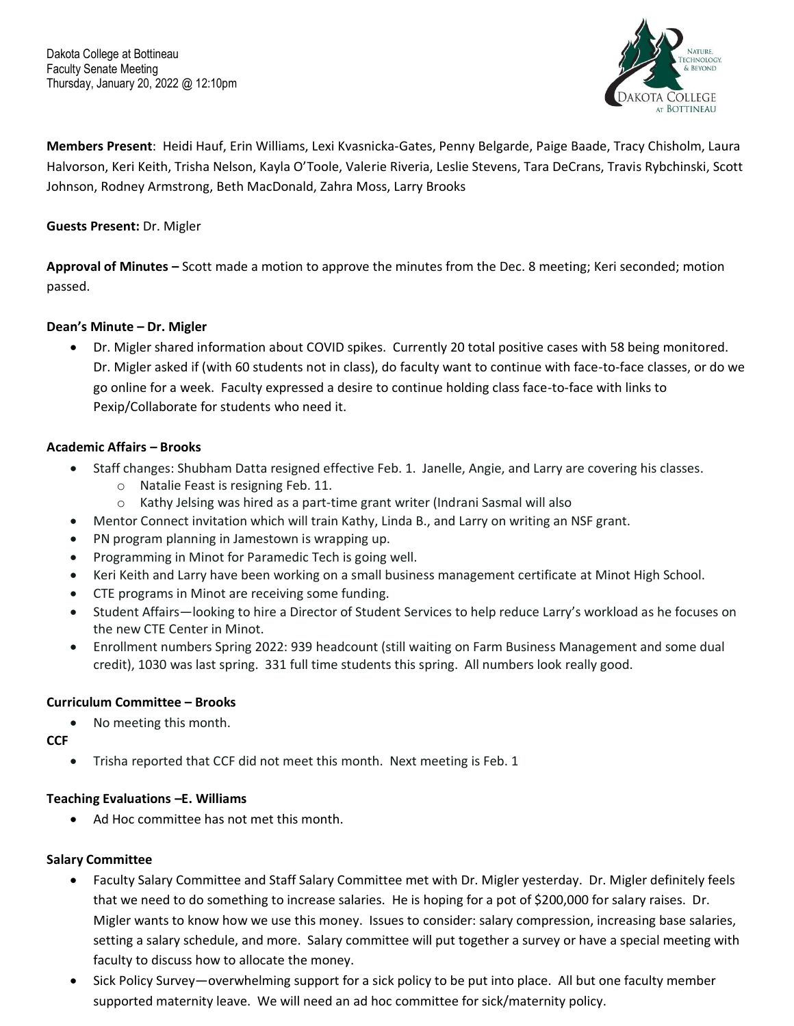

**Members Present**: Heidi Hauf, Erin Williams, Lexi Kvasnicka-Gates, Penny Belgarde, Paige Baade, Tracy Chisholm, Laura Halvorson, Keri Keith, Trisha Nelson, Kayla O'Toole, Valerie Riveria, Leslie Stevens, Tara DeCrans, Travis Rybchinski, Scott Johnson, Rodney Armstrong, Beth MacDonald, Zahra Moss, Larry Brooks

## **Guests Present:** Dr. Migler

**Approval of Minutes –** Scott made a motion to approve the minutes from the Dec. 8 meeting; Keri seconded; motion passed.

#### **Dean's Minute – Dr. Migler**

• Dr. Migler shared information about COVID spikes. Currently 20 total positive cases with 58 being monitored. Dr. Migler asked if (with 60 students not in class), do faculty want to continue with face-to-face classes, or do we go online for a week. Faculty expressed a desire to continue holding class face-to-face with links to Pexip/Collaborate for students who need it.

## **Academic Affairs – Brooks**

- Staff changes: Shubham Datta resigned effective Feb. 1. Janelle, Angie, and Larry are covering his classes.
	- o Natalie Feast is resigning Feb. 11.
	- o Kathy Jelsing was hired as a part-time grant writer (Indrani Sasmal will also
- Mentor Connect invitation which will train Kathy, Linda B., and Larry on writing an NSF grant.
- PN program planning in Jamestown is wrapping up.
- Programming in Minot for Paramedic Tech is going well.
- Keri Keith and Larry have been working on a small business management certificate at Minot High School.
- CTE programs in Minot are receiving some funding.
- Student Affairs—looking to hire a Director of Student Services to help reduce Larry's workload as he focuses on the new CTE Center in Minot.
- Enrollment numbers Spring 2022: 939 headcount (still waiting on Farm Business Management and some dual credit), 1030 was last spring. 331 full time students this spring. All numbers look really good.

#### **Curriculum Committee – Brooks**

• No meeting this month.

**CCF**

• Trisha reported that CCF did not meet this month. Next meeting is Feb. 1

#### **Teaching Evaluations –E. Williams**

• Ad Hoc committee has not met this month.

#### **Salary Committee**

- Faculty Salary Committee and Staff Salary Committee met with Dr. Migler yesterday. Dr. Migler definitely feels that we need to do something to increase salaries. He is hoping for a pot of \$200,000 for salary raises. Dr. Migler wants to know how we use this money. Issues to consider: salary compression, increasing base salaries, setting a salary schedule, and more. Salary committee will put together a survey or have a special meeting with faculty to discuss how to allocate the money.
- Sick Policy Survey—overwhelming support for a sick policy to be put into place. All but one faculty member supported maternity leave. We will need an ad hoc committee for sick/maternity policy.